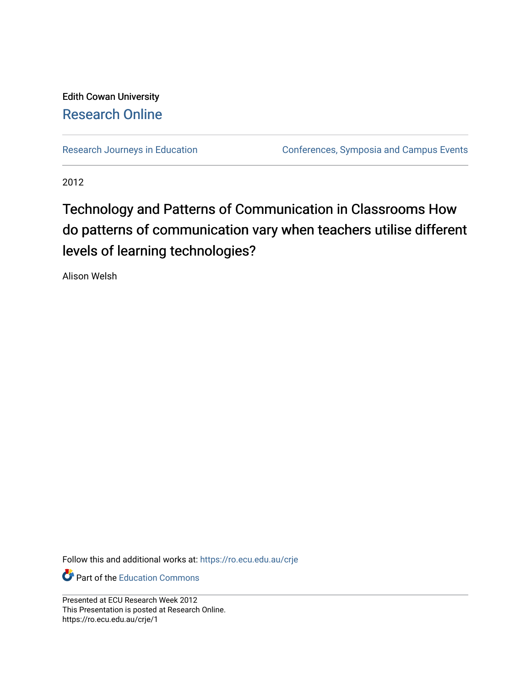#### Edith Cowan University [Research Online](https://ro.ecu.edu.au/)

[Research Journeys in Education](https://ro.ecu.edu.au/crje) **Conferences**, Symposia and Campus Events

2012

#### Technology and Patterns of Communication in Classrooms How do patterns of communication vary when teachers utilise different levels of learning technologies?

Alison Welsh

Follow this and additional works at: [https://ro.ecu.edu.au/crje](https://ro.ecu.edu.au/crje?utm_source=ro.ecu.edu.au%2Fcrje%2F1&utm_medium=PDF&utm_campaign=PDFCoverPages) 

**C** Part of the [Education Commons](http://network.bepress.com/hgg/discipline/784?utm_source=ro.ecu.edu.au%2Fcrje%2F1&utm_medium=PDF&utm_campaign=PDFCoverPages)

Presented at ECU Research Week 2012 This Presentation is posted at Research Online. https://ro.ecu.edu.au/crje/1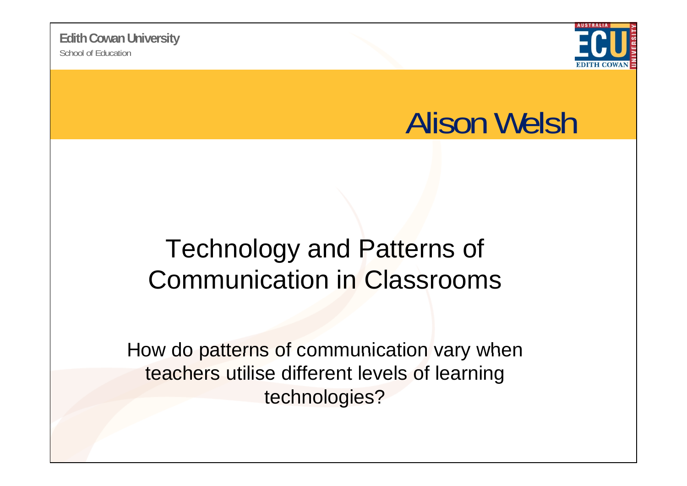

### Alison Welsh

#### Technology and Patterns of Communication in Classrooms

How do patterns of communication vary when teachers utilise different levels of learning technologies?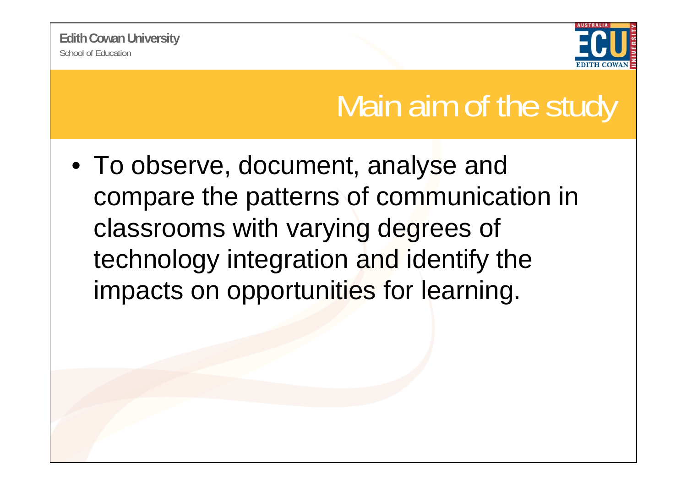School of Education**Edith Cowan University**



### Main aim of the study

• To observe, document, analyse and compare the patterns of communication in classrooms with varying degrees of technology integration and identify the impacts on opportunities for learning.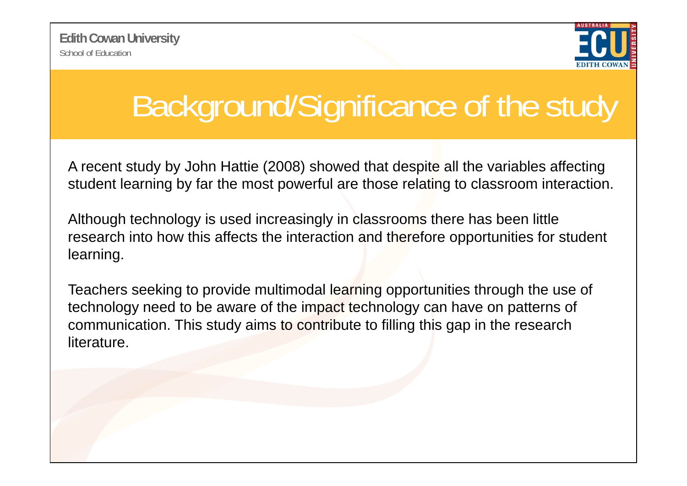School of Education**Edith Cowan University**



# Background/Significance of the study

A recent study by John Hattie (2008) showed that despite all the variables affecting student learning by far the most powerful are those relating to classroom interaction.

Although technology is used increasingly in classrooms there has been little research into how this affects the interaction and therefore opportunities for student learning.

Teachers seeking to provide multimodal learning opportunities through the use of technology need to be aware of the impact technology can have on patterns of communication. This study aims to contribute to filling this gap in the research literature.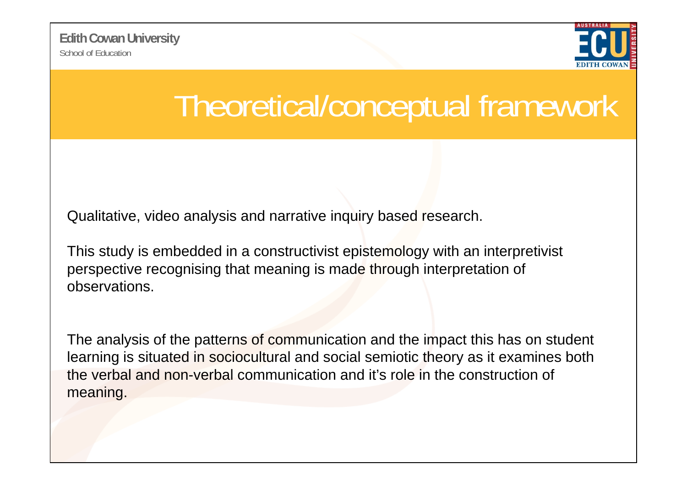School of Education**Edith Cowan University**



### Theoretical/conceptual framework

Qualitative, video analysis and narrative inquiry based research.

This study is embedded in a constructivist epistemology with an interpretivist perspective recognising that meaning is made through interpretation of observations.

The analysis of the patterns of communication and the impact this has on student learning is situated in sociocultural and social semiotic theory as it examines both the verbal and non-verbal communication and it's role in the construction of meaning.